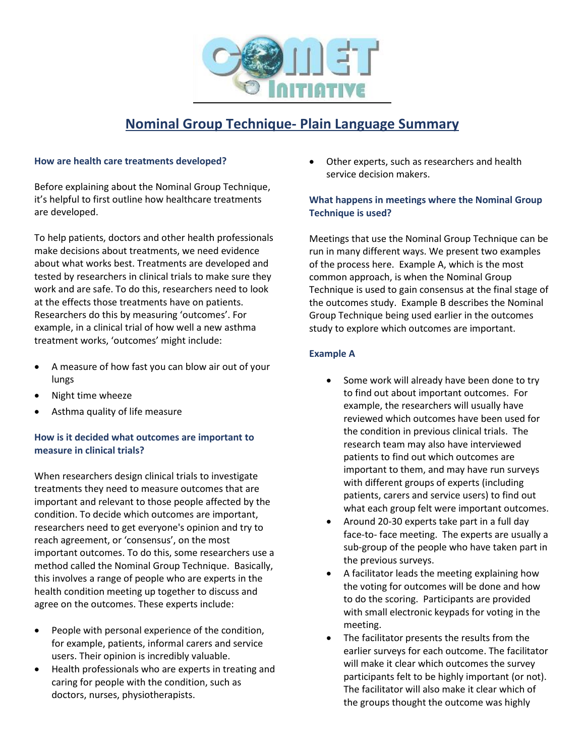

# **Nominal Group Technique- Plain Language Summary**

#### **How are health care treatments developed?**

Before explaining about the Nominal Group Technique, it's helpful to first outline how healthcare treatments are developed.

To help patients, doctors and other health professionals make decisions about treatments, we need evidence about what works best. Treatments are developed and tested by researchers in clinical trials to make sure they work and are safe. To do this, researchers need to look at the effects those treatments have on patients. Researchers do this by measuring 'outcomes'. For example, in a clinical trial of how well a new asthma treatment works, 'outcomes' might include:

- A measure of how fast you can blow air out of your lungs
- Night time wheeze
- Asthma quality of life measure

#### **How is it decided what outcomes are important to measure in clinical trials?**

When researchers design clinical trials to investigate treatments they need to measure outcomes that are important and relevant to those people affected by the condition. To decide which outcomes are important, researchers need to get everyone's opinion and try to reach agreement, or 'consensus', on the most important outcomes. To do this, some researchers use a method called the Nominal Group Technique. Basically, this involves a range of people who are experts in the health condition meeting up together to discuss and agree on the outcomes. These experts include:

- People with personal experience of the condition, for example, patients, informal carers and service users. Their opinion is incredibly valuable.
- Health professionals who are experts in treating and caring for people with the condition, such as doctors, nurses, physiotherapists.

Other experts, such as researchers and health service decision makers.

## **What happens in meetings where the Nominal Group Technique is used?**

Meetings that use the Nominal Group Technique can be run in many different ways. We present two examples of the process here. Example A, which is the most common approach, is when the Nominal Group Technique is used to gain consensus at the final stage of the outcomes study. Example B describes the Nominal Group Technique being used earlier in the outcomes study to explore which outcomes are important.

## **Example A**

- Some work will already have been done to try to find out about important outcomes. For example, the researchers will usually have reviewed which outcomes have been used for the condition in previous clinical trials. The research team may also have interviewed patients to find out which outcomes are important to them, and may have run surveys with different groups of experts (including patients, carers and service users) to find out what each group felt were important outcomes.
- Around 20-30 experts take part in a full day face-to- face meeting. The experts are usually a sub-group of the people who have taken part in the previous surveys.
- A facilitator leads the meeting explaining how the voting for outcomes will be done and how to do the scoring. Participants are provided with small electronic keypads for voting in the meeting.
- The facilitator presents the results from the earlier surveys for each outcome. The facilitator will make it clear which outcomes the survey participants felt to be highly important (or not). The facilitator will also make it clear which of the groups thought the outcome was highly